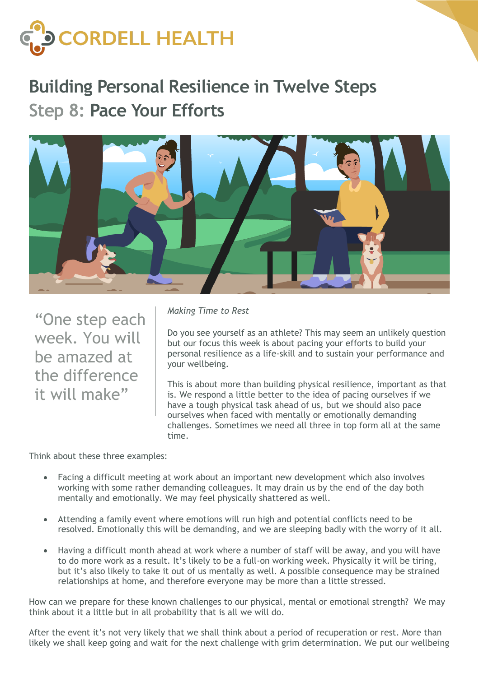

## **Building Personal Resilience in Twelve Steps Step 8: Pace Your Efforts**



"One step each week. You will be amazed at the difference it will make"

*Making Time to Rest*

Do you see yourself as an athlete? This may seem an unlikely question but our focus this week is about pacing your efforts to build your personal resilience as a life-skill and to sustain your performance and your wellbeing.

This is about more than building physical resilience, important as that is. We respond a little better to the idea of pacing ourselves if we have a tough physical task ahead of us, but we should also pace ourselves when faced with mentally or emotionally demanding challenges. Sometimes we need all three in top form all at the same time.

Think about these three examples:

- Facing a difficult meeting at work about an important new development which also involves working with some rather demanding colleagues. It may drain us by the end of the day both mentally and emotionally. We may feel physically shattered as well.
- Attending a family event where emotions will run high and potential conflicts need to be resolved. Emotionally this will be demanding, and we are sleeping badly with the worry of it all.
- Having a difficult month ahead at work where a number of staff will be away, and you will have to do more work as a result. It's likely to be a full-on working week. Physically it will be tiring, but it's also likely to take it out of us mentally as well. A possible consequence may be strained relationships at home, and therefore everyone may be more than a little stressed.

How can we prepare for these known challenges to our physical, mental or emotional strength? We may think about it a little but in all probability that is all we will do.

After the event it's not very likely that we shall think about a period of recuperation or rest. More than likely we shall keep going and wait for the next challenge with grim determination. We put our wellbeing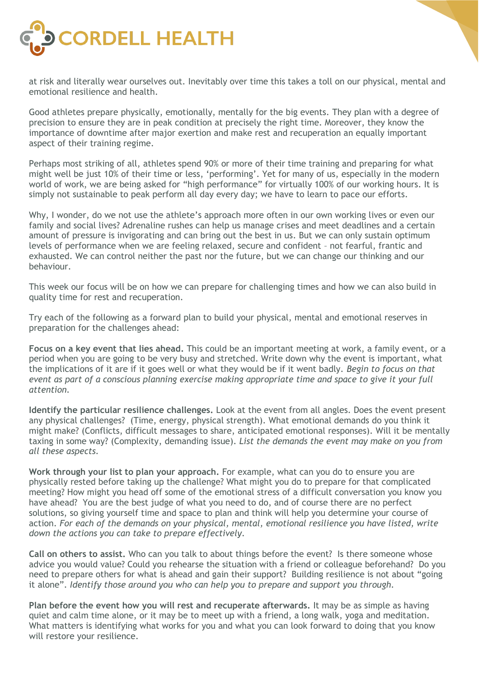

at risk and literally wear ourselves out. Inevitably over time this takes a toll on our physical, mental and emotional resilience and health.

Good athletes prepare physically, emotionally, mentally for the big events. They plan with a degree of precision to ensure they are in peak condition at precisely the right time. Moreover, they know the importance of downtime after major exertion and make rest and recuperation an equally important aspect of their training regime.

Perhaps most striking of all, athletes spend 90% or more of their time training and preparing for what might well be just 10% of their time or less, 'performing'. Yet for many of us, especially in the modern world of work, we are being asked for "high performance" for virtually 100% of our working hours. It is simply not sustainable to peak perform all day every day; we have to learn to pace our efforts.

Why, I wonder, do we not use the athlete's approach more often in our own working lives or even our family and social lives? Adrenaline rushes can help us manage crises and meet deadlines and a certain amount of pressure is invigorating and can bring out the best in us. But we can only sustain optimum levels of performance when we are feeling relaxed, secure and confident – not fearful, frantic and exhausted. We can control neither the past nor the future, but we can change our thinking and our behaviour.

This week our focus will be on how we can prepare for challenging times and how we can also build in quality time for rest and recuperation.

Try each of the following as a forward plan to build your physical, mental and emotional reserves in preparation for the challenges ahead:

**Focus on a key event that lies ahead.** This could be an important meeting at work, a family event, or a period when you are going to be very busy and stretched. Write down why the event is important, what the implications of it are if it goes well or what they would be if it went badly. *Begin to focus on that event as part of a conscious planning exercise making appropriate time and space to give it your full attention.* 

**Identify the particular resilience challenges.** Look at the event from all angles. Does the event present any physical challenges? (Time, energy, physical strength). What emotional demands do you think it might make? (Conflicts, difficult messages to share, anticipated emotional responses). Will it be mentally taxing in some way? (Complexity, demanding issue). *List the demands the event may make on you from all these aspects.* 

**Work through your list to plan your approach.** For example, what can you do to ensure you are physically rested before taking up the challenge? What might you do to prepare for that complicated meeting? How might you head off some of the emotional stress of a difficult conversation you know you have ahead? You are the best judge of what you need to do, and of course there are no perfect solutions, so giving yourself time and space to plan and think will help you determine your course of action. *For each of the demands on your physical, mental, emotional resilience you have listed, write down the actions you can take to prepare effectively*.

**Call on others to assist.** Who can you talk to about things before the event? Is there someone whose advice you would value? Could you rehearse the situation with a friend or colleague beforehand? Do you need to prepare others for what is ahead and gain their support? Building resilience is not about "going it alone". *Identify those around you who can help you to prepare and support you through.*

**Plan before the event how you will rest and recuperate afterwards.** It may be as simple as having quiet and calm time alone, or it may be to meet up with a friend, a long walk, yoga and meditation. What matters is identifying what works for you and what you can look forward to doing that you know will restore your resilience.